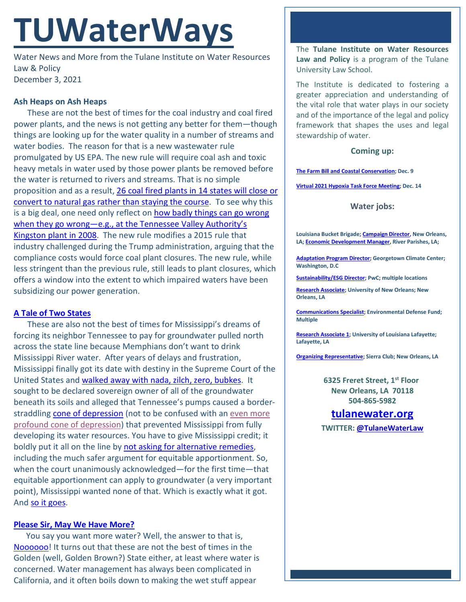# **TUWaterWays**

Water News and More from the Tulane Institute on Water Resources Law & Policy December 3, 2021

### **Ash Heaps on Ash Heaps**

These are not the best of times for the coal industry and coal fired power plants, and the news is not getting any better for them—though things are looking up for the water quality in a number of streams and water bodies. The reason for that is a new wastewater rule promulgated by US EPA. The new rule will require coal ash and toxic heavy metals in water used by those power plants be removed before the water is returned to rivers and streams. That is no simple proposition and as a result, 26 coal fired plants in 14 states will close or [convert to natural gas rather than staying the course.](https://www.msn.com/en-us/money/markets/26-coal-fired-power-plants-in-14-states-plan-to-stop-burning-coal-due-to-new-rule/ar-AAR0e4P?ocid=entnewsntp&pc=U531) To see why this is a big deal, one need only reflect on how badly things can go wrong when they go wrong—e.g., [at the Tennessee Valley Authority's](https://www.powermag.com/the-convoluted-tale-of-u-s-coal-ash-management/)  [Kingston plant in](https://www.powermag.com/the-convoluted-tale-of-u-s-coal-ash-management/) 2008. The new rule modifies a 2015 rule that industry challenged during the Trump administration, arguing that the compliance costs would force coal plant closures. The new rule, while less stringent than the previous rule, still leads to plant closures, which offers a window into the extent to which impaired waters have been subsidizing our power generation.

#### **[A Tale of Two States](https://www.youtube.com/watch?v=QLo7dyhY1mE)**

These are also not the best of times for Mississippi's dreams of forcing its neighbor Tennessee to pay for groundwater pulled north across the state line because Memphians don't want to drink Mississippi River water. After years of delays and frustration, Mississippi finally got its date with destiny in the Supreme Court of the United States and walked away with [nada, zilch, zero, bubkes.](https://www.supremecourt.gov/opinions/21pdf/143orig_1qm1.pdf) It sought to be declared sovereign owner of all of the groundwater beneath its soils and alleged that Tennessee's pumps caused a borderstraddling [cone of depression](https://www.e-education.psu.edu/earth103/node/900) (not to be confused with an even more [profound cone of depression\)](https://www.atlasobscura.com/foods/raw-herring-ice-cream) that prevented Mississippi from fully developing its water resources. You have to give Mississippi credit; it boldly put it all on the line b[y not asking for alternative remedies,](https://www.scotusblog.com/2021/11/in-dispute-over-groundwater-court-tells-mississippi-its-equitable-apportionment-or-nothing/) including the much safer argument for equitable apportionment. So, when the court unanimously acknowledged—for the first time—that equitable apportionment can apply to groundwater (a very important point), Mississippi wanted none of that. Which is exactly what it got. And [so it goes.](https://www.youtube.com/watch?v=YEpr8kaczck)

#### **[Please Sir, May We Have More?](http://www.reactiongifs.com/r/beggin.gif)**

You say you want more water? Well, the answer to that is, [Noooooo!](https://www.youtube.com/watch?v=4Q4JfaHjAng) It turns out that these are not the best of times in the Golden (well, Golden Brown?) State either, at least where water is concerned. Water management has always been complicated in California, and it often boils down to making the wet stuff appear

The **Tulane Institute on Water Resources Law and Policy** is a program of the Tulane University Law School.

The Institute is dedicated to fostering a greater appreciation and understanding of the vital role that water plays in our society and of the importance of the legal and policy framework that shapes the uses and legal stewardship of water.

#### **Coming up:**

**[The Farm Bill and Coastal Conservation;](https://us02web.zoom.us/webinar/register/8516371606487/WN_cs9_BvH5RGaHjk758193sw) Dec. 9**

**[Virtual 2021 Hypoxia Task Force Meeting;](https://water-meetings.tetratech.com/Hypoxia/StaticPublic/) Dec. 14**

#### **Water jobs:**

**Louisiana Bucket Brigade[; Campaign Director,](https://labucketbrigade.org/now-hiring-campaign-director/) New Orleans, LA[; Economic Development Manager,](https://labucketbrigade.org/now-hiring-economic-development-manager/) River Parishes, LA;** 

**[Adaptation Program Director;](https://georgetown.wd1.myworkdayjobs.com/en-US/Georgetown_Admin_Careers/job/Law-Center/Adaptation-Program-Director--Georgetown-Climate-Center---Georgetown-University-Law-Center_JR10781) Georgetown Climate Center; Washington, D.C**

**[Sustainability/ESG Director;](https://jobs.us.pwc.com/job/-/-/932/8531402784?utm_source=linkedin.com&utm_campaign=core_media&utm_medium=social_media&utm_content=job_posting&ss=paid&dclid=CIHN-by5yvMCFUvrwAodK4kFqw) PwC; multiple locations**

**[Research Associate;](https://ulsuno.wd1.myworkdayjobs.com/en-US/UniversityOfNewOrleans/job/New-Orleans-La/Research-Associate-1_R-000365) University of New Orleans; New Orleans, LA**

**[Communications Specialist;](https://www.edf.org/jobs/communications-specialist-coastal-resilience) Environmental Defense Fund; Multiple**

**[Research Associate 1;](https://louisiana.csod.com/ux/ats/careersite/1/home/requisition/1576?c=louisiana) University of Louisiana Lafayette; Lafayette, LA**

**[Organizing Representative;](https://phf.tbe.taleo.net/phf01/ats/careers/v2/viewRequisition?org=SIERRACLUB&cws=39&rid=1816) Sierra Club; New Orleans, LA**

**6325 Freret Street, 1st Floor New Orleans, LA 70118 504-865-5982**

## **tulanewater.org**

**TWITTER: [@TulaneWaterLaw](http://www.twitter.com/TulaneWaterLaw)**